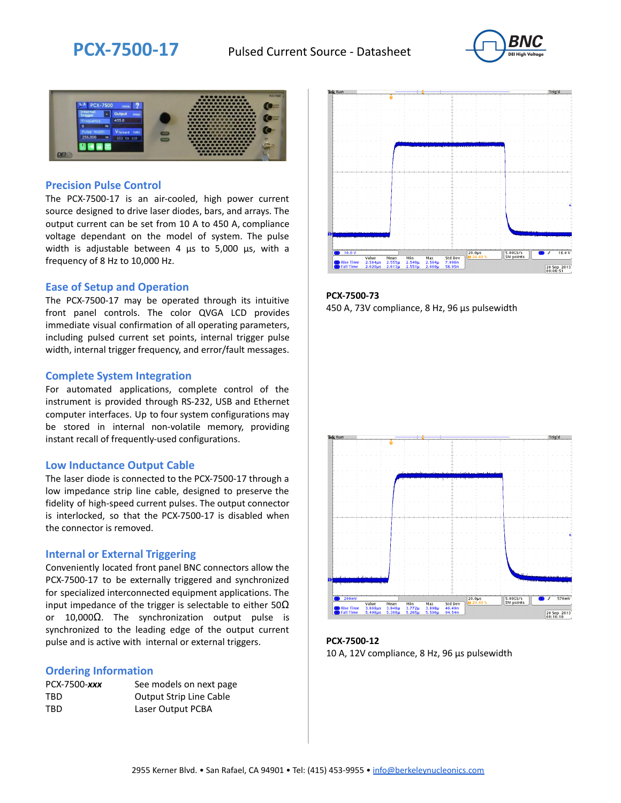



### **Precision Pulse Control**

The PCX-7500-17 is an air-cooled, high power current source designed to drive laser diodes, bars, and arrays. The output current can be set from 10 A to 450 A, compliance voltage dependant on the model of system. The pulse width is adjustable between 4 µs to 5,000 µs, with a frequency of 8 Hz to 10,000 Hz.

#### **Ease of Setup and Operation**

The PCX-7500-17 may be operated through its intuitive front panel controls. The color QVGA LCD provides immediate visual confirmation of all operating parameters, including pulsed current set points, internal trigger pulse width, internal trigger frequency, and error/fault messages.

#### **Complete System Integration**

For automated applications, complete control of the instrument is provided through RS-232, USB and Ethernet computer interfaces. Up to four system configurations may be stored in internal non-volatile memory, providing instant recall of frequently-used configurations.

#### **Low Inductance Output Cable**

The laser diode is connected to the PCX-7500-17 through a low impedance strip line cable, designed to preserve the fidelity of high-speed current pulses. The output connector is interlocked, so that the PCX-7500-17 is disabled when the connector is removed.

#### **Internal or External Triggering**

Conveniently located front panel BNC connectors allow the PCX-7500-17 to be externally triggered and synchronized for specialized interconnected equipment applications. The input impedance of the trigger is selectable to either  $50\Omega$ or 10,000Ω. The synchronization output pulse is synchronized to the leading edge of the output current pulse and is active with internal or external triggers.

#### **Ordering Information**

| PCX-7500-xxx | See models on next page        |
|--------------|--------------------------------|
| TBD          | <b>Output Strip Line Cable</b> |
| TBD          | Laser Output PCBA              |



**PCX-7500-73** 450 A, 73V compliance, 8 Hz, 96 µs pulsewidth



**PCX-7500-12** 10 A, 12V compliance, 8 Hz, 96 μs pulsewidth